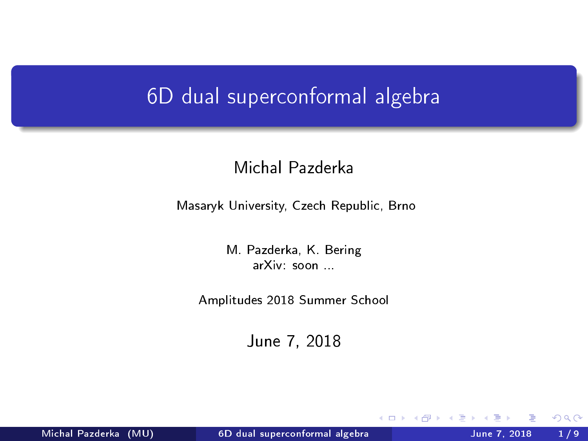## <span id="page-0-0"></span>6D dual superconformal algebra

## Michal Pazderka

Masaryk University, Czech Republic, Brno

M. Pazderka, K. Bering arXiv: soon ...

Amplitudes 2018 Summer School

June 7, 2018

4 0 8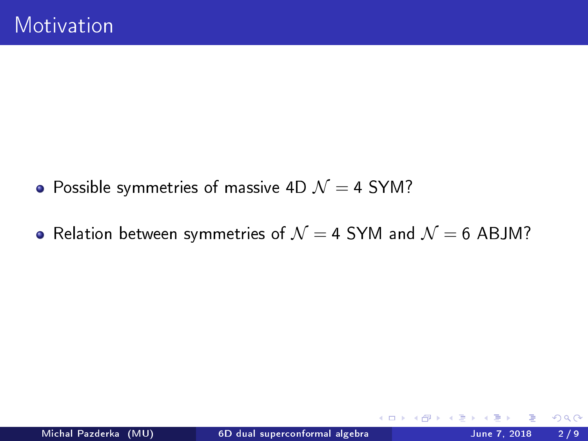- Possible symmetries of massive 4D  $\mathcal{N}=4$  SYM?
- Relation between symmetries of  $\mathcal{N}=4$  SYM and  $\mathcal{N}=6$  ABJM?

4 0 8

 $QQ$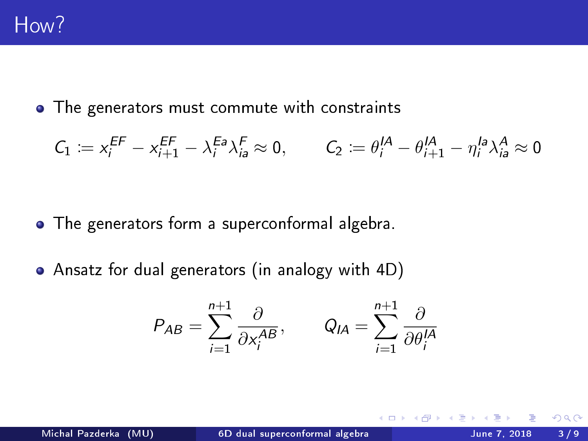• The generators must commute with constraints

$$
C_1 := x_i^{EF} - x_{i+1}^{EF} - \lambda_i^{Ea} \lambda_{ia}^F \approx 0, \qquad C_2 := \theta_i^{IA} - \theta_{i+1}^{IA} - \eta_i^{Ia} \lambda_{ia}^A \approx 0
$$

- The generators form a superconformal algebra.
- Ansatz for dual generators (in analogy with 4D)

$$
P_{AB} = \sum_{i=1}^{n+1} \frac{\partial}{\partial x_i^{AB}}, \qquad Q_{IA} = \sum_{i=1}^{n+1} \frac{\partial}{\partial \theta_i^{IA}}
$$

 $\Omega$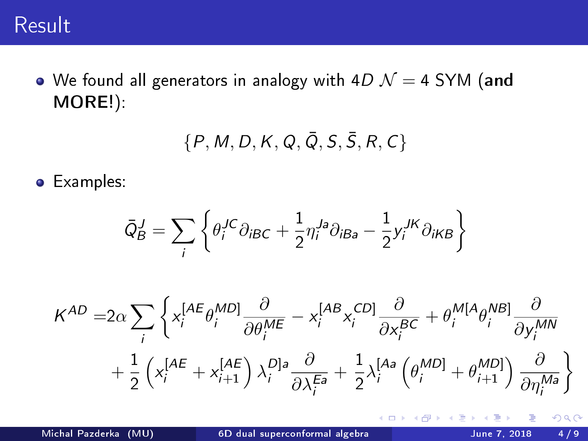

 $\bullet$  We found all generators in analogy with 4D  $\mathcal{N}=4$  SYM (and MORE!):

$$
\{P,M,D,K,Q,\bar{Q},S,\bar{S},R,C\}
$$

**•** Examples:

$$
\bar{Q}_{B}^{J}=\sum_{i}\left\{\theta_{i}^{JC}\partial_{iBC}+\frac{1}{2}\eta_{i}^{Ja}\partial_{iBa}-\frac{1}{2}y_{i}^{JK}\partial_{iKB}\right\}
$$

$$
K^{AD} = 2\alpha \sum_{i} \left\{ x_i^{[AE} \theta_i^{MD]} \frac{\partial}{\partial \theta_i^{ME}} - x_i^{[AB} x_i^{CD]} \frac{\partial}{\partial x_i^{BC}} + \theta_i^{M[A} \theta_i^{NB]} \frac{\partial}{\partial y_i^{MN}} + \frac{1}{2} \left( x_i^{[AE} + x_{i+1}^{[AE]} \right) \lambda_i^{D]a} \frac{\partial}{\partial \lambda_i^{Ea}} + \frac{1}{2} \lambda_i^{[Aa} \left( \theta_i^{MD]} + \theta_{i+1}^{MD} \right) \frac{\partial}{\partial \eta_i^{Ma}} \right\}
$$

4 D F

 $\sim$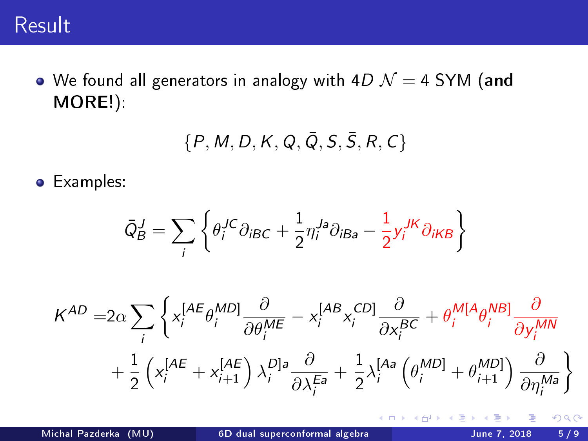

 $\bullet$  We found all generators in analogy with 4D  $\mathcal{N}=4$  SYM (and MORE!):

$$
\{P,M,D,K,Q,\bar{Q},S,\bar{S},R,C\}
$$

**•** Examples:

$$
\bar{Q}_{B}^{J}=\sum_{i}\left\{\theta_{i}^{JC}\partial_{iBC}+\frac{1}{2}\eta_{i}^{Ja}\partial_{iBa}-\frac{1}{2}y_{i}^{JK}\partial_{iKB}\right\}
$$

$$
K^{AD} = 2\alpha \sum_{i} \left\{ x_i^{[AE} \theta_i^{MD]} \frac{\partial}{\partial \theta_i^{ME}} - x_i^{[AB} x_i^{CD]} \frac{\partial}{\partial x_i^{BC}} + \theta_i^{M[A} \theta_i^{NB]} \frac{\partial}{\partial y_i^{MN}} + \frac{1}{2} \left( x_i^{[AE} + x_{i+1}^{[AE]} \right) \lambda_i^{D]a} \frac{\partial}{\partial \lambda_i^{Ea}} + \frac{1}{2} \lambda_i^{[Aa} \left( \theta_i^{MD]} + \theta_{i+1}^{MD} \right) \frac{\partial}{\partial \eta_i^{Ma}} \right\}
$$

4 D F

 $\sim$  $\prec$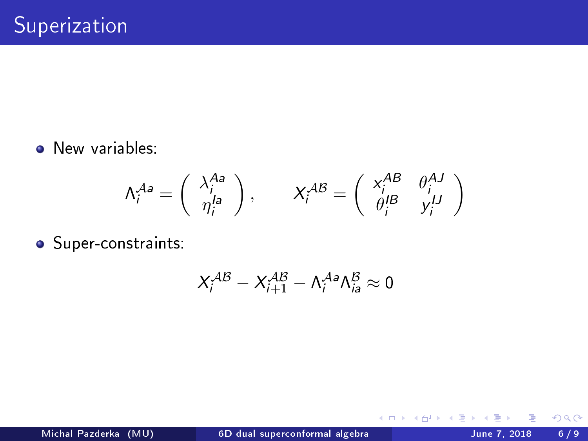**•** New variables:

$$
\Lambda_i^{Aa} = \begin{pmatrix} \lambda_i^{Aa} \\ \eta_i^{Ia} \end{pmatrix}, \qquad X_i^{AB} = \begin{pmatrix} x_i^{AB} & \theta_i^{AJ} \\ \theta_i^{IB} & y_i^{IJ} \end{pmatrix}
$$

**·** Super-constraints:

$$
X_i^{AB} - X_{i+1}^{AB} - \Lambda_i^{Aa} \Lambda_{ia}^B \approx 0
$$

4 D F

 $\mathcal{A}$  .  $\sim$  $\mathcal{A}$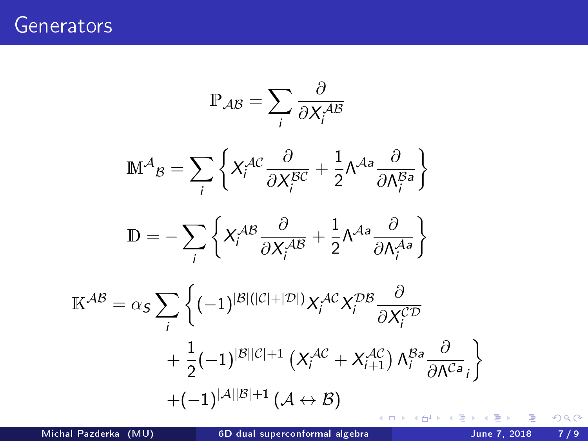Generators

$$
\mathbb{P}_{AB} = \sum_{i} \frac{\partial}{\partial X_{i}^{AB}}
$$
  
\n
$$
\mathbb{M}^{A}{}_{B} = \sum_{i} \left\{ X_{i}^{AC} \frac{\partial}{\partial X_{i}^{BC}} + \frac{1}{2} \Lambda^{Aa} \frac{\partial}{\partial \Lambda_{i}^{Ba}} \right\}
$$
  
\n
$$
\mathbb{D} = -\sum_{i} \left\{ X_{i}^{AB} \frac{\partial}{\partial X_{i}^{AB}} + \frac{1}{2} \Lambda^{Aa} \frac{\partial}{\partial \Lambda_{i}^{Aa}} \right\}
$$
  
\n
$$
\mathbb{K}^{AB} = \alpha_{S} \sum_{i} \left\{ (-1)^{|B|(|C|+|D|)} X_{i}^{AC} X_{i}^{DB} \frac{\partial}{\partial X_{i}^{CD}} + \frac{1}{2} (-1)^{|B||C|+1} \left( X_{i}^{AC} + X_{i+1}^{AC} \right) \Lambda_{i}^{Ba} \frac{\partial}{\partial \Lambda^{Ca}} \right\}
$$
  
\n
$$
+ (-1)^{|A||B|+1} (A \leftrightarrow B)
$$

J.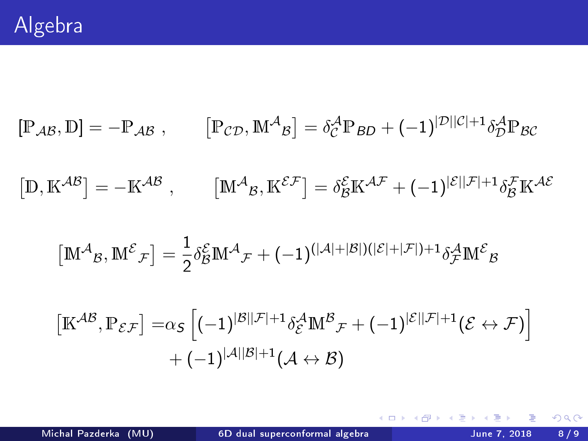$$
[\mathbb{P}_{\mathcal{AB}},\mathbb{D}]=- \mathbb{P}_{\mathcal{AB}}\;,\t[\mathbb{P}_{\mathcal{CD}},\mathbb{M}^{\mathcal{A}}{}_{\mathcal{B}}]=\delta^{\mathcal{A}}_{\mathcal{C}}\mathbb{P}_{\mathcal{BD}}+(-1)^{|\mathcal{D}||\mathcal{C}|+1}\delta^{\mathcal{A}}_{\mathcal{D}}\mathbb{P}_{\mathcal{BC}}
$$

$$
[\mathbb{D}, \mathbb{K}^{\mathcal{AB}}] = -\mathbb{K}^{\mathcal{AB}} , \qquad [\mathbb{M}^{\mathcal{A}}{}_{\mathcal{B}}, \mathbb{K}^{\mathcal{EF}}] = \delta^{\mathcal{E}}_{\mathcal{B}} \mathbb{K}^{\mathcal{AF}} + (-1)^{|\mathcal{E}||\mathcal{F}|+1} \delta^{\mathcal{F}}_{\mathcal{B}} \mathbb{K}^{\mathcal{AE}}
$$

$$
\left[\mathbb{M}^{\mathcal{A}}{}_{\mathcal{B}},\mathbb{M}^{\mathcal{E}}{}_{\mathcal{F}}\right] = \frac{1}{2}\delta^{\mathcal{E}}_{\mathcal{B}}\mathbb{M}^{\mathcal{A}}{}_{\mathcal{F}} + (-1)^{(|\mathcal{A}|+|\mathcal{B}|)(|\mathcal{E}|+|\mathcal{F}|)+1}\delta^{\mathcal{A}}_{\mathcal{F}}\mathbb{M}^{\mathcal{E}}{}_{\mathcal{B}}
$$

$$
\begin{aligned} \left[ \mathbb{K}^{\mathcal{AB}}, \mathbb{P}_{\mathcal{EF}} \right] &= & \alpha_{\mathcal{S}} \left[ (-1)^{|\mathcal{B}||\mathcal{F}|+1} \delta_{\mathcal{E}}^{\mathcal{A}} \mathbb{M}^{\mathcal{B}}_{\mathcal{F}} + (-1)^{|\mathcal{E}||\mathcal{F}|+1} (\mathcal{E} \leftrightarrow \mathcal{F}) \right] \\ &+ (-1)^{|\mathcal{A}||\mathcal{B}|+1} (\mathcal{A} \leftrightarrow \mathcal{B}) \end{aligned}
$$

 $2990$ 

경기

 $\rightarrow$ 

**K ロ ト イ 伊 ト イ ミ ト**